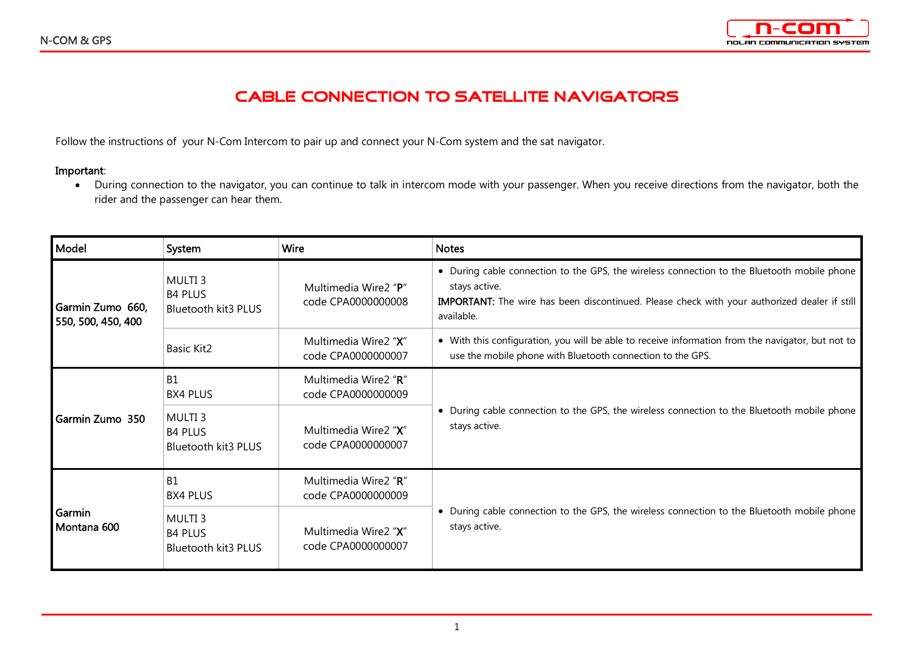

## **CABLE CONNECTION TO SATELLITE NAVIGATORS**

Follow the instructions of your N-Com Intercom to pair up and connect your N-Com system and the sat navigator.

## **Important**:

• During connection to the navigator, you can continue to talk in intercom mode with your passenger. When you receive directions from the navigator, both the rider and the passenger can hear them.

| Model                                  | System                                                             | <b>Wire</b>                                | <b>Notes</b>                                                                                                                                                                                                               |
|----------------------------------------|--------------------------------------------------------------------|--------------------------------------------|----------------------------------------------------------------------------------------------------------------------------------------------------------------------------------------------------------------------------|
| Garmin Zumo 660,<br>550, 500, 450, 400 | MULTI <sub>3</sub><br><b>B4 PLUS</b><br><b>Bluetooth kit3 PLUS</b> | Multimedia Wire2 "P"<br>code CPA0000000008 | • During cable connection to the GPS, the wireless connection to the Bluetooth mobile phone<br>stays active.<br>IMPORTANT: The wire has been discontinued. Please check with your authorized dealer if still<br>available. |
|                                        | <b>Basic Kit2</b>                                                  | Multimedia Wire2 "X"<br>code CPA0000000007 | • With this configuration, you will be able to receive information from the navigator, but not to<br>use the mobile phone with Bluetooth connection to the GPS.                                                            |
| Garmin Zumo 350                        | <b>B1</b><br><b>BX4 PLUS</b>                                       | Multimedia Wire2 "R"<br>code CPA0000000009 | • During cable connection to the GPS, the wireless connection to the Bluetooth mobile phone<br>stays active.                                                                                                               |
|                                        | MULTI <sub>3</sub><br><b>B4 PLUS</b><br>Bluetooth kit3 PLUS        | Multimedia Wire2 "X"<br>code CPA0000000007 |                                                                                                                                                                                                                            |
| Garmin<br>Montana 600                  | <b>B1</b><br><b>BX4 PLUS</b>                                       | Multimedia Wire2 "R"<br>code CPA0000000009 | • During cable connection to the GPS, the wireless connection to the Bluetooth mobile phone<br>stays active.                                                                                                               |
|                                        | MULTI <sub>3</sub><br><b>B4 PLUS</b><br>Bluetooth kit3 PLUS        | Multimedia Wire2 "X"<br>code CPA0000000007 |                                                                                                                                                                                                                            |